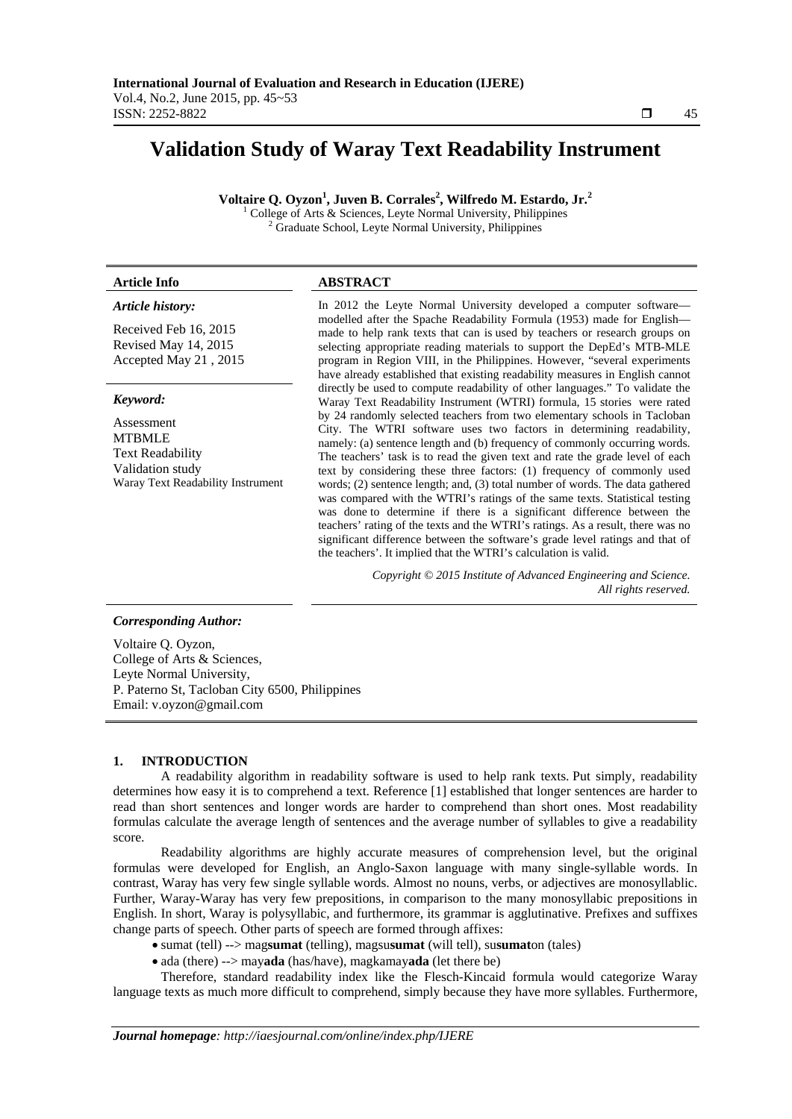# **Validation Study of Waray Text Readability Instrument**

 $V$ oltaire Q. Oyzon<sup>1</sup>, Juven B. Corrales<sup>2</sup>, Wilfredo M. Estardo, Jr.<sup>2</sup>

College of Arts & Sciences, Leyte Normal University, Philippines <sup>2</sup> Graduate School, Leyte Normal University, Philippines

# **Article Info ABSTRACT**

1

# *Article history:*

Received Feb 16, 2015 Revised May 14, 2015 Accepted May 21 , 2015

### *Keyword:*

Assessment MTBMLE Text Readability Validation study Waray Text Readability Instrument In 2012 the Leyte Normal University developed a computer software modelled after the Spache Readability Formula (1953) made for English made to help rank texts that can is used by teachers or research groups on selecting appropriate reading materials to support the DepEd's MTB-MLE program in Region VIII, in the Philippines. However, "several experiments have already established that existing readability measures in English cannot directly be used to compute readability of other languages." To validate the Waray Text Readability Instrument (WTRI) formula, 15 stories were rated by 24 randomly selected teachers from two elementary schools in Tacloban City. The WTRI software uses two factors in determining readability, namely: (a) sentence length and (b) frequency of commonly occurring words. The teachers' task is to read the given text and rate the grade level of each text by considering these three factors: (1) frequency of commonly used words; (2) sentence length; and, (3) total number of words. The data gathered was compared with the WTRI's ratings of the same texts. Statistical testing was done to determine if there is a significant difference between the teachers' rating of the texts and the WTRI's ratings. As a result, there was no significant difference between the software's grade level ratings and that of the teachers'. It implied that the WTRI's calculation is valid.

> *Copyright © 2015 Institute of Advanced Engineering and Science. All rights reserved.*

# *Corresponding Author:*

Voltaire Q. Oyzon, College of Arts & Sciences, Leyte Normal University, P. Paterno St, Tacloban City 6500, Philippines Email: v.oyzon@gmail.com

# **1. INTRODUCTION**

A readability algorithm in readability software is used to help rank texts. Put simply, readability determines how easy it is to comprehend a text. Reference [1] established that longer sentences are harder to read than short sentences and longer words are harder to comprehend than short ones. Most readability formulas calculate the average length of sentences and the average number of syllables to give a readability score.

Readability algorithms are highly accurate measures of comprehension level, but the original formulas were developed for English, an Anglo-Saxon language with many single-syllable words. In contrast, Waray has very few single syllable words. Almost no nouns, verbs, or adjectives are monosyllablic. Further, Waray-Waray has very few prepositions, in comparison to the many monosyllabic prepositions in English. In short, Waray is polysyllabic, and furthermore, its grammar is agglutinative. Prefixes and suffixes change parts of speech. Other parts of speech are formed through affixes:

- sumat (tell) --> mag**sumat** (telling), magsu**sumat** (will tell), su**sumat**on (tales)
- ada (there) --> may**ada** (has/have), magkamay**ada** (let there be)

Therefore, standard readability index like the Flesch-Kincaid formula would categorize Waray language texts as much more difficult to comprehend, simply because they have more syllables. Furthermore,

ֺֺ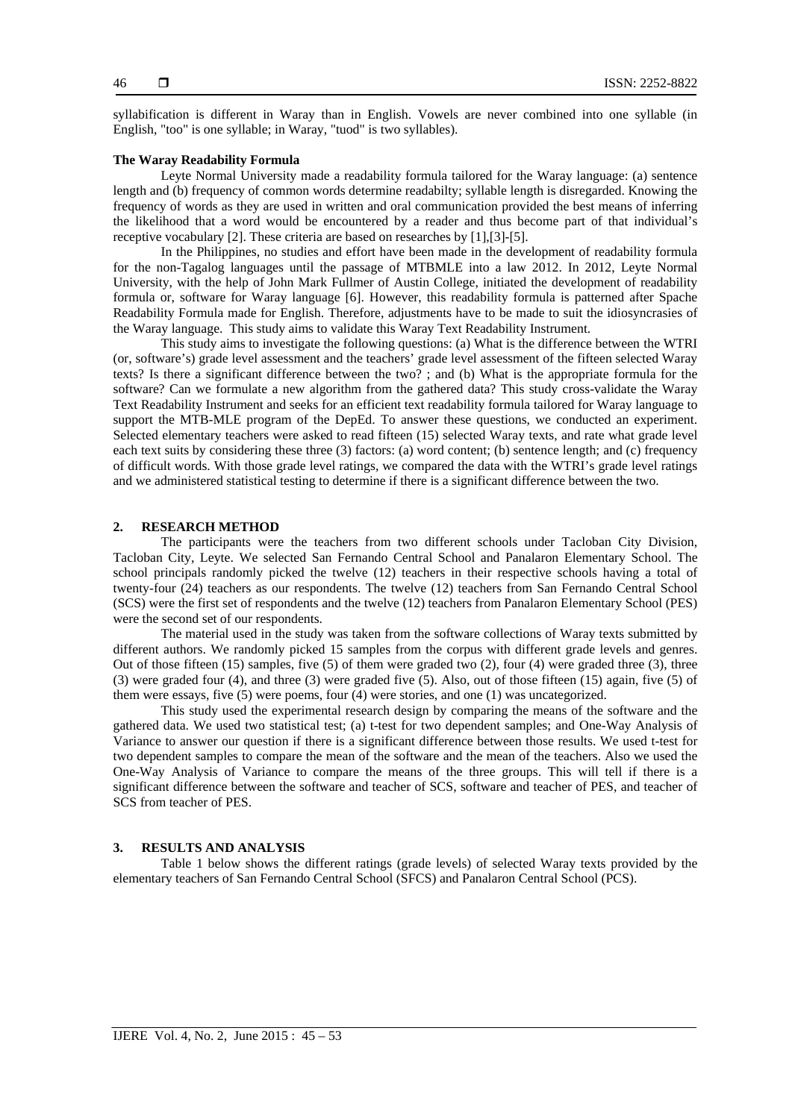syllabification is different in Waray than in English. Vowels are never combined into one syllable (in English, "too" is one syllable; in Waray, "tuod" is two syllables).

### **The Waray Readability Formula**

Leyte Normal University made a readability formula tailored for the Waray language: (a) sentence length and (b) frequency of common words determine readabilty; syllable length is disregarded. Knowing the frequency of words as they are used in written and oral communication provided the best means of inferring the likelihood that a word would be encountered by a reader and thus become part of that individual's receptive vocabulary [2]. These criteria are based on researches by [1],[3]-[5].

In the Philippines, no studies and effort have been made in the development of readability formula for the non-Tagalog languages until the passage of MTBMLE into a law 2012. In 2012, Leyte Normal University, with the help of John Mark Fullmer of Austin College, initiated the development of readability formula or, software for Waray language [6]. However, this readability formula is patterned after Spache Readability Formula made for English. Therefore, adjustments have to be made to suit the idiosyncrasies of the Waray language. This study aims to validate this Waray Text Readability Instrument.

This study aims to investigate the following questions: (a) What is the difference between the WTRI (or, software's) grade level assessment and the teachers' grade level assessment of the fifteen selected Waray texts? Is there a significant difference between the two? ; and (b) What is the appropriate formula for the software? Can we formulate a new algorithm from the gathered data? This study cross-validate the Waray Text Readability Instrument and seeks for an efficient text readability formula tailored for Waray language to support the MTB-MLE program of the DepEd. To answer these questions, we conducted an experiment. Selected elementary teachers were asked to read fifteen (15) selected Waray texts, and rate what grade level each text suits by considering these three (3) factors: (a) word content; (b) sentence length; and (c) frequency of difficult words. With those grade level ratings, we compared the data with the WTRI's grade level ratings and we administered statistical testing to determine if there is a significant difference between the two.

#### **2. RESEARCH METHOD**

The participants were the teachers from two different schools under Tacloban City Division, Tacloban City, Leyte. We selected San Fernando Central School and Panalaron Elementary School. The school principals randomly picked the twelve (12) teachers in their respective schools having a total of twenty-four (24) teachers as our respondents. The twelve (12) teachers from San Fernando Central School (SCS) were the first set of respondents and the twelve (12) teachers from Panalaron Elementary School (PES) were the second set of our respondents.

The material used in the study was taken from the software collections of Waray texts submitted by different authors. We randomly picked 15 samples from the corpus with different grade levels and genres. Out of those fifteen (15) samples, five (5) of them were graded two (2), four (4) were graded three (3), three (3) were graded four (4), and three (3) were graded five (5). Also, out of those fifteen (15) again, five (5) of them were essays, five (5) were poems, four (4) were stories, and one (1) was uncategorized.

This study used the experimental research design by comparing the means of the software and the gathered data. We used two statistical test; (a) t-test for two dependent samples; and One-Way Analysis of Variance to answer our question if there is a significant difference between those results. We used t-test for two dependent samples to compare the mean of the software and the mean of the teachers. Also we used the One-Way Analysis of Variance to compare the means of the three groups. This will tell if there is a significant difference between the software and teacher of SCS, software and teacher of PES, and teacher of SCS from teacher of PES.

# **3. RESULTS AND ANALYSIS**

Table 1 below shows the different ratings (grade levels) of selected Waray texts provided by the elementary teachers of San Fernando Central School (SFCS) and Panalaron Central School (PCS).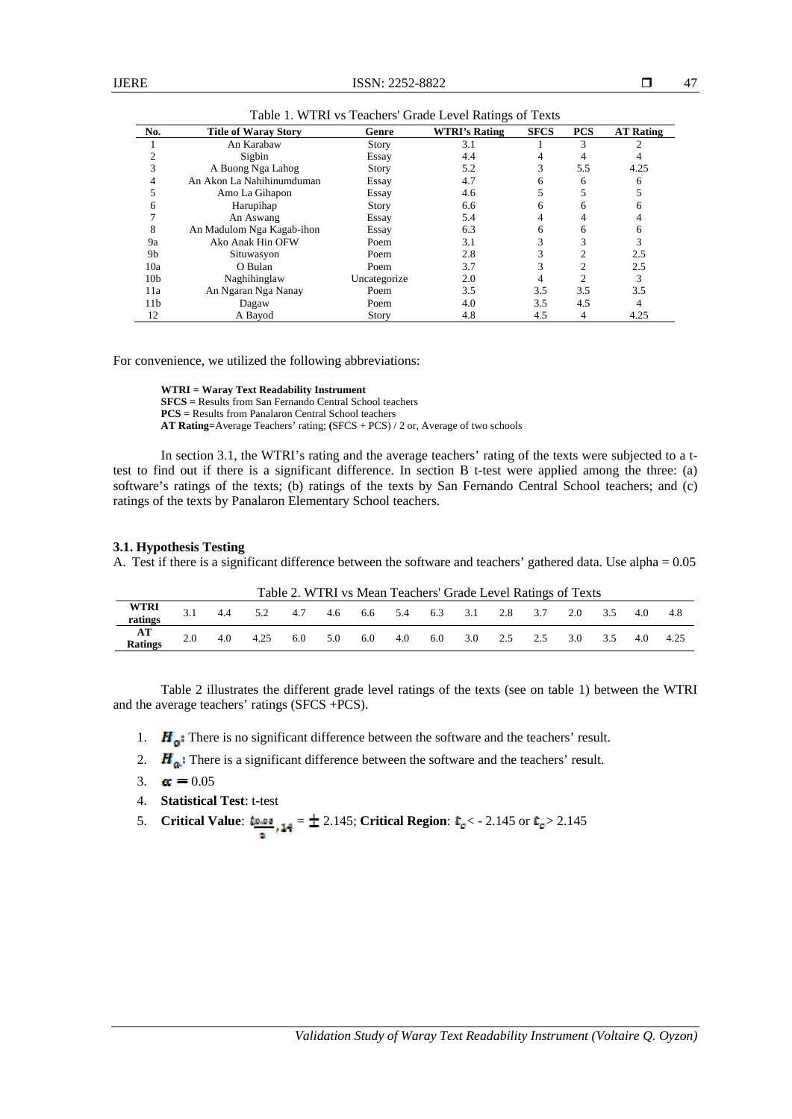| No.             | <b>Title of Waray Story</b> | Genre        | <b>WTRI's Rating</b> | <b>SFCS</b> | <b>PCS</b> | <b>AT Rating</b> |
|-----------------|-----------------------------|--------------|----------------------|-------------|------------|------------------|
|                 | An Karabaw                  | <b>Story</b> | 3.1                  |             |            |                  |
|                 | Sigbin                      | Essay        | 4.4                  |             |            |                  |
|                 | A Buong Nga Lahog           | <b>Story</b> | 5.2                  |             | 5.5        | 4.25             |
| 4               | An Akon La Nahihinumduman   | Essay        | 4.7                  | 6           | 6          | 6                |
|                 | Amo La Gihapon              | Essay        | 4.6                  |             |            |                  |
| 6               | Harupihap                   | <b>Story</b> | 6.6                  | 6           | 6          |                  |
|                 | An Aswang                   | Essay        | 5.4                  |             |            |                  |
| 8               | An Madulom Nga Kagab-ihon   | Essay        | 6.3                  | 6           |            |                  |
| 9a              | Ako Anak Hin OFW            | Poem         | 3.1                  |             |            |                  |
| 9b              | Situwasyon                  | Poem         | 2.8                  |             |            | 2.5              |
| 10a             | O Bulan                     | Poem         | 3.7                  |             |            | 2.5              |
| 10 <sub>b</sub> | Naghihinglaw                | Uncategorize | 2.0                  |             |            |                  |
| 11a             | An Ngaran Nga Nanay         | Poem         | 3.5                  | 3.5         | 3.5        | 3.5              |
| 11 <sub>b</sub> | Dagaw                       | Poem         | 4.0                  | 3.5         | 4.5        |                  |
| 12              | A Bayod                     | <b>Story</b> | 4.8                  | 4.5         | 4          | 4.25             |

Table 1. WTRI vs Teachers' Grade Level Ratings of Texts

For convenience, we utilized the following abbreviations:

**WTRI = Waray Text Readability Instrument SFCS =** Results from San Fernando Central School teachers **PCS =** Results from Panalaron Central School teachers **AT Rating=**Average Teachers' rating; **(**SFCS + PCS) / 2 or, Average of two schools

In section 3.1, the WTRI's rating and the average teachers' rating of the texts were subjected to a ttest to find out if there is a significant difference. In section B t-test were applied among the three: (a) software's ratings of the texts; (b) ratings of the texts by San Fernando Central School teachers; and (c) ratings of the texts by Panalaron Elementary School teachers.

#### **3.1. Hypothesis Testing**

A. Test if there is a significant difference between the software and teachers' gathered data. Use alpha = 0.05

|                 |     |                                     | Table 2. WIRT VS Mean Teachers Grade Level Ratings of Texts |                                        |  |  |                          |  |  |
|-----------------|-----|-------------------------------------|-------------------------------------------------------------|----------------------------------------|--|--|--------------------------|--|--|
| WTRI<br>ratings | 4.4 | 5.2 4.7 4.6 6.6 5.4 6.3 3.1 2.8 3.7 |                                                             |                                        |  |  | 2.0 3.5 4.0 4.8          |  |  |
|                 |     |                                     |                                                             |                                        |  |  |                          |  |  |
| AT<br>Ratings   | 4.0 | 4.25 6.0                            | 5.0                                                         | $6.0 \qquad 4.0 \qquad 6.0 \qquad 3.0$ |  |  | 2.5 2.5 3.0 3.5 4.0 4.25 |  |  |
|                 |     |                                     |                                                             |                                        |  |  |                          |  |  |

Table 2. WTRI vs Mean Teachers' Grade Level Ratings of Texts

Table 2 illustrates the different grade level ratings of the texts (see on table 1) between the WTRI and the average teachers' ratings (SFCS +PCS).

- 1.  $H_0$ : There is no significant difference between the software and the teachers' result.
- 2.  $H_{\alpha}$ : There is a significant difference between the software and the teachers' result.
- 3.  $\alpha = 0.05$
- 4. **Statistical Test**: t-test
- 5. **Critical Value:**  $\frac{t_{\text{B-0.8}}}{t}$ ,  $\frac{14}{4} = \pm 2.145$ ; **Critical Region:**  $t_c < -2.145$  or  $t_c > 2.145$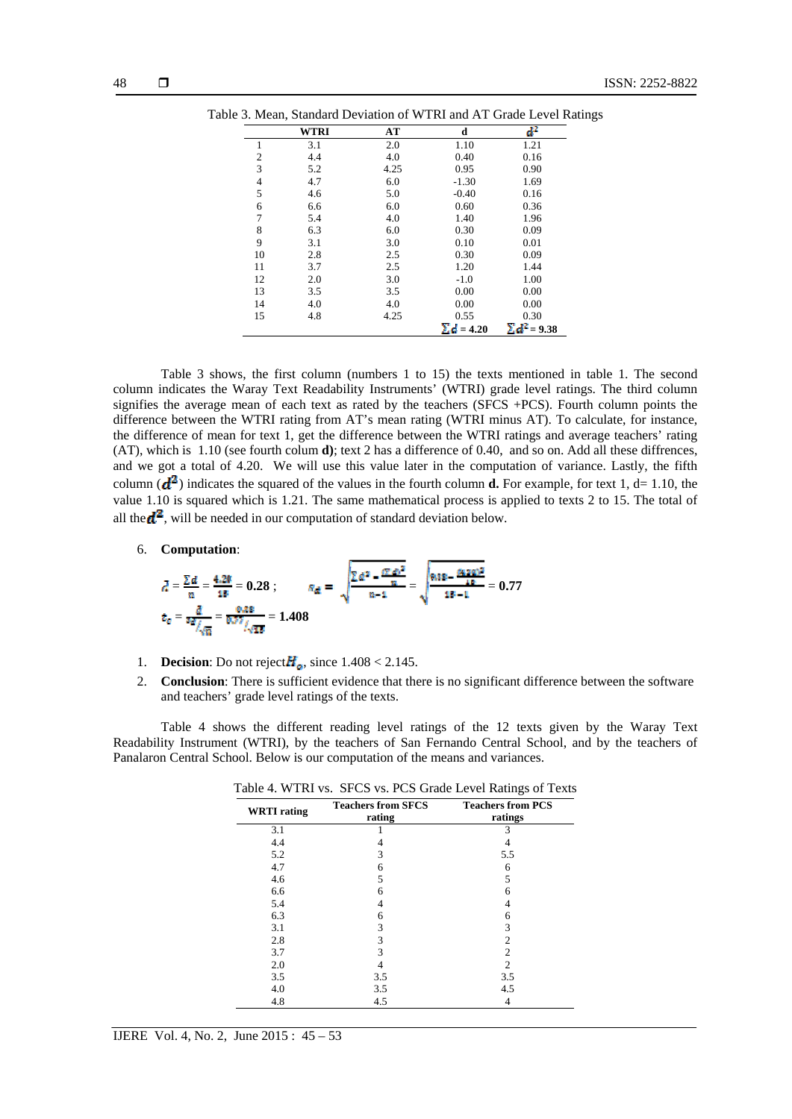|                | <b>WTRI</b> | AT   | d                 | ď                   |
|----------------|-------------|------|-------------------|---------------------|
| 1              | 3.1         | 2.0  | 1.10              | 1.21                |
| $\overline{2}$ | 4.4         | 4.0  | 0.40              | 0.16                |
| 3              | 5.2         | 4.25 | 0.95              | 0.90                |
| $\overline{4}$ | 4.7         | 6.0  | $-1.30$           | 1.69                |
| 5              | 4.6         | 5.0  | $-0.40$           | 0.16                |
| 6              | 6.6         | 6.0  | 0.60              | 0.36                |
| 7              | 5.4         | 4.0  | 1.40              | 1.96                |
| 8              | 6.3         | 6.0  | 0.30              | 0.09                |
| 9              | 3.1         | 3.0  | 0.10              | 0.01                |
| 10             | 2.8         | 2.5  | 0.30              | 0.09                |
| 11             | 3.7         | 2.5  | 1.20              | 1.44                |
| 12             | 2.0         | 3.0  | $-1.0$            | 1.00                |
| 13             | 3.5         | 3.5  | 0.00              | 0.00                |
| 14             | 4.0         | 4.0  | 0.00              | 0.00                |
| 15             | 4.8         | 4.25 | 0.55              | 0.30                |
|                |             |      | $\Sigma d = 4.20$ | $\Sigma d^2$ = 9.38 |

Table 3 shows, the first column (numbers 1 to 15) the texts mentioned in table 1. The second column indicates the Waray Text Readability Instruments' (WTRI) grade level ratings. The third column signifies the average mean of each text as rated by the teachers (SFCS +PCS). Fourth column points the difference between the WTRI rating from AT's mean rating (WTRI minus AT). To calculate, for instance, the difference of mean for text 1, get the difference between the WTRI ratings and average teachers' rating (AT), which is 1.10 (see fourth colum **d)**; text 2 has a difference of 0.40, and so on. Add all these diffrences, and we got a total of 4.20. We will use this value later in the computation of variance. Lastly, the fifth column  $(d^2)$  indicates the squared of the values in the fourth column **d.** For example, for text 1, d= 1.10, the value 1.10 is squared which is 1.21. The same mathematical process is applied to texts 2 to 15. The total of all the  $\mathbf{d}^2$ , will be needed in our computation of standard deviation below.

6. **Computation**:

$$
\bar{d} = \frac{\sum d}{n} = \frac{4.28}{18} = 0.28 \; ; \qquad \bar{n}_{\bar{d}} = \sqrt{\frac{\sum d^2 - \frac{(T - d)^2}{n}}{n-1}} = \sqrt{\frac{8.88 - \frac{(8.20)^2}{18}}{18 - 1}} = 0.77
$$

$$
t_c = \frac{\bar{d}}{4\bar{d}/\sqrt{n}} = \frac{8.88}{0.27} \frac{1}{\sqrt{18}} = 1.408
$$

- 1. **Decision**: Do not reject  $H_{\alpha}$ , since 1.408 < 2.145.
- 2. **Conclusion**: There is sufficient evidence that there is no significant difference between the software and teachers' grade level ratings of the texts.

Table 4 shows the different reading level ratings of the 12 texts given by the Waray Text Readability Instrument (WTRI), by the teachers of San Fernando Central School, and by the teachers of Panalaron Central School. Below is our computation of the means and variances.

| <b>WRTI</b> rating | <b>Teachers from SFCS</b><br>rating | <b>Teachers from PCS</b><br>ratings |  |  |
|--------------------|-------------------------------------|-------------------------------------|--|--|
| 3.1                |                                     |                                     |  |  |
| 4.4                |                                     |                                     |  |  |
| 5.2                | 3                                   | 5.5                                 |  |  |
| 4.7                | 6                                   | 6                                   |  |  |
| 4.6                | 5                                   | 5                                   |  |  |
| 6.6                |                                     | h                                   |  |  |
| 5.4                |                                     |                                     |  |  |
| 6.3                | 6                                   | 6                                   |  |  |
| 3.1                | 3                                   | 3                                   |  |  |
| 2.8                | 3                                   | $\mathcal{D}_{\mathcal{L}}$         |  |  |
| 3.7                |                                     | $\mathcal{D}_{\mathcal{L}}$         |  |  |
| 2.0                |                                     | $\mathfrak{D}$                      |  |  |
| 3.5                | 3.5                                 | 3.5                                 |  |  |
| 4.0                | 3.5                                 | 4.5                                 |  |  |
| 4.8                | 4.5                                 |                                     |  |  |

|  |  |  |  | Table 4. WTRI vs. SFCS vs. PCS Grade Level Ratings of Texts |
|--|--|--|--|-------------------------------------------------------------|
|--|--|--|--|-------------------------------------------------------------|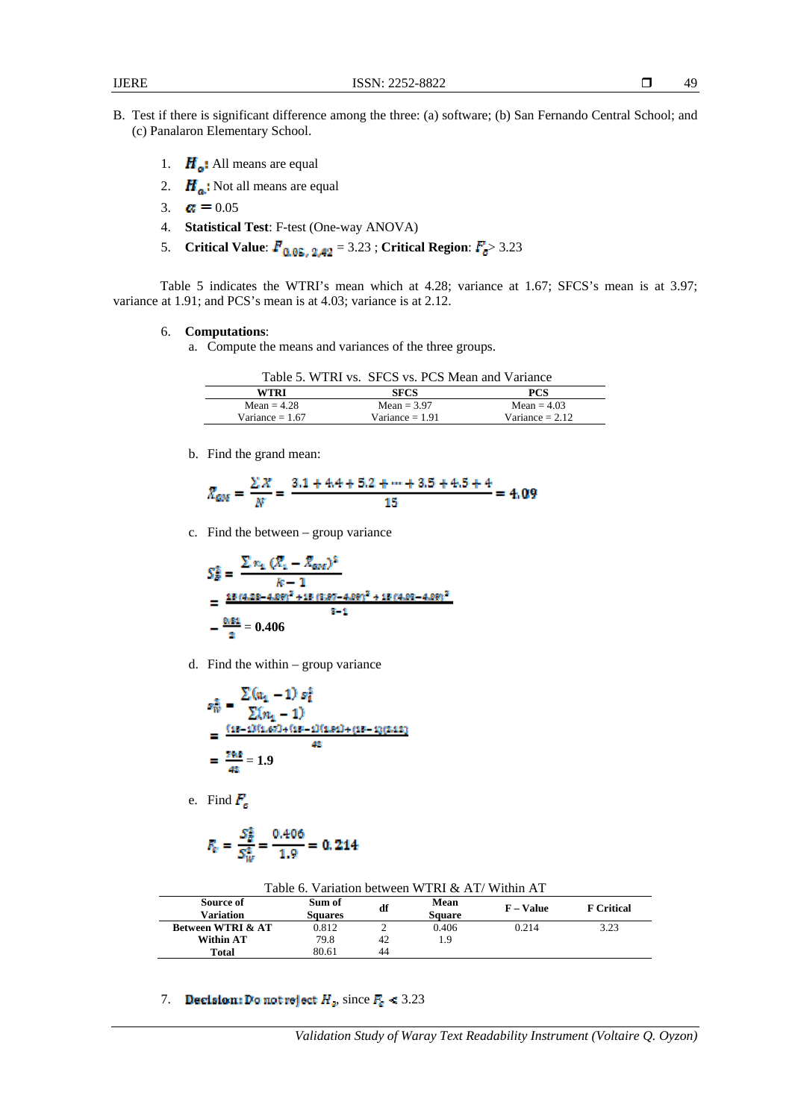- B. Test if there is significant difference among the three: (a) software; (b) San Fernando Central School; and (c) Panalaron Elementary School.
	- 1.  $H_o$ : All means are equal
	- 2.  $H_a$ : Not all means are equal
	- 3.  $\alpha = 0.05$
	- 4. **Statistical Test**: F-test (One-way ANOVA)
	- 5. **Critical Value:**  $\vec{F}_{0.05}$ ,  $_{2.42}$  = 3.23; **Critical Region:**  $\vec{F}_{g}$  > 3.23

Table 5 indicates the WTRI's mean which at 4.28; variance at 1.67; SFCS's mean is at 3.97; variance at 1.91; and PCS's mean is at 4.03; variance is at 2.12.

# 6. **Computations**:

a. Compute the means and variances of the three groups.

|  |  |  |  | Table 5. WTRI vs. SFCS vs. PCS Mean and Variance |
|--|--|--|--|--------------------------------------------------|
|--|--|--|--|--------------------------------------------------|

| WTRI              | <b>SFCS</b>       | PCS               |
|-------------------|-------------------|-------------------|
| Mean $= 4.28$     | $Mean = 3.97$     | $Mean = 4.03$     |
| Variance $= 1.67$ | Variance $= 1.91$ | Variance $= 2.12$ |
|                   |                   |                   |

b. Find the grand mean:

$$
\bar{X}_{GM} = \frac{\Sigma X}{N} = \frac{3.1 + 4.4 + 5.2 + \dots + 3.5 + 4.5 + 4}{15} = 4.09
$$

c. Find the between – group variance

$$
S_{B}^{2} = \frac{\sum n_{4} (R_{4} - R_{\text{cov}})^{2}}{k - 1}
$$
  
= 
$$
\frac{48 (4.28 - 4.89)^{2} + 48 (3.87 - 4.89)^{2} + 48 (4.93 - 4.99)^{2}}{8 - 1}
$$
  
= 
$$
\frac{0.81}{2} = 0.406
$$

d. Find the within – group variance

$$
s_W^2 = \frac{\sum (a_1 - 1) s_t^2}{\sum (n_1 - 1)}
$$
  
= 
$$
\frac{(m - 1)(1.67) + (m - 1)(1.61) + (m - 1)(2.12)}{42}
$$
  
= 
$$
\frac{79.8}{42} = 1.9
$$

e. Find  $F_c$ 

$$
F_{\rm e} = \frac{S_B^2}{S_W^2} = \frac{0.406}{1.9} = 0.214
$$

| Table 6. Variation between WTRI $&$ AT/Within AT |                          |    |                       |                  |                   |  |  |  |  |
|--------------------------------------------------|--------------------------|----|-----------------------|------------------|-------------------|--|--|--|--|
| Source of<br>Variation                           | Sum of<br><b>Squares</b> | df | Mean<br><b>Square</b> | <b>F</b> – Value | <b>F</b> Critical |  |  |  |  |
| <b>Between WTRI &amp; AT</b>                     | 0.812                    |    | 0.406                 | 0.214            | 3.23              |  |  |  |  |
| Within AT                                        | 79.8                     | 42 | 19                    |                  |                   |  |  |  |  |
| Total                                            | 80.61                    | 44 |                       |                  |                   |  |  |  |  |

7. **Decision:** Do not reject  $H_a$ , since  $F_a < 3.23$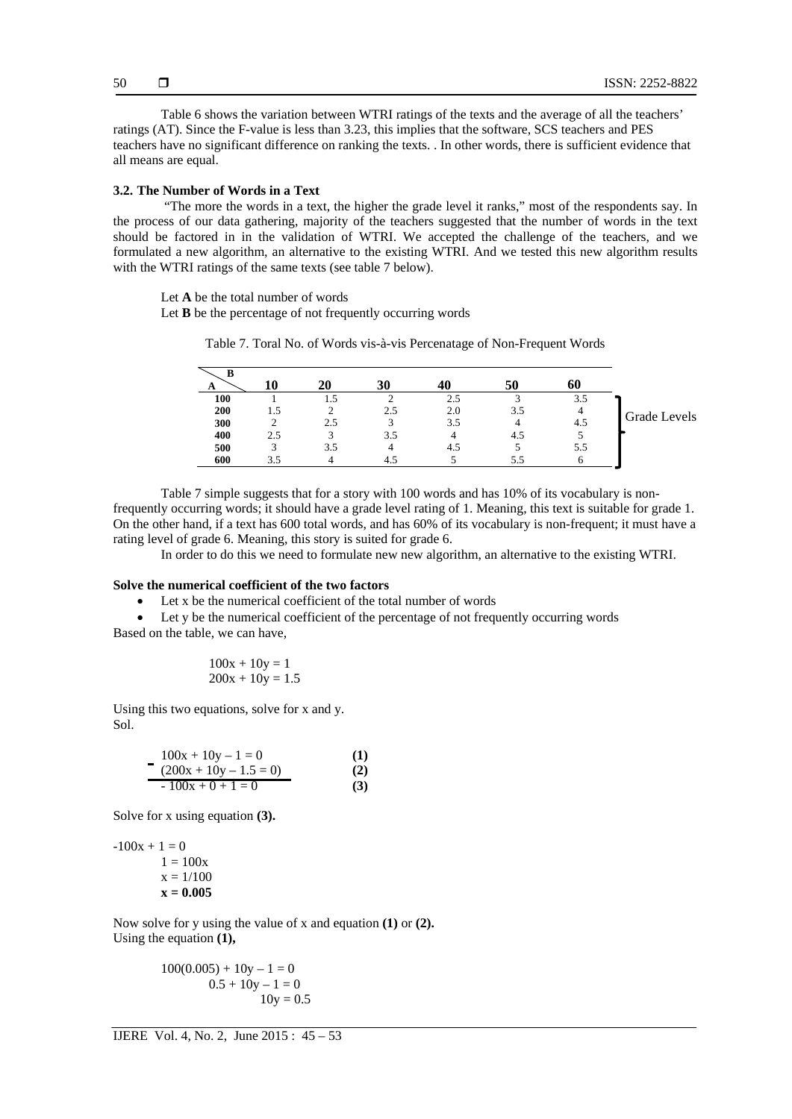Table 6 shows the variation between WTRI ratings of the texts and the average of all the teachers' ratings (AT). Since the F-value is less than 3.23, this implies that the software, SCS teachers and PES teachers have no significant difference on ranking the texts. . In other words, there is sufficient evidence that all means are equal.

# **3.2. The Number of Words in a Text**

 "The more the words in a text, the higher the grade level it ranks," most of the respondents say. In the process of our data gathering, majority of the teachers suggested that the number of words in the text should be factored in in the validation of WTRI. We accepted the challenge of the teachers, and we formulated a new algorithm, an alternative to the existing WTRI. And we tested this new algorithm results with the WTRI ratings of the same texts (see table 7 below).

Let **A** be the total number of words

Let **B** be the percentage of not frequently occurring words

Table 7. Toral No. of Words vis-à-vis Percenatage of Non-Frequent Words

| в   |     |     |     |     |     |     |              |
|-----|-----|-----|-----|-----|-----|-----|--------------|
| A   |     | 20  | 30  |     | 50  | 60  |              |
| 100 |     | L.5 |     | 2.5 |     | 3.5 |              |
| 200 |     |     | 2.5 | 2.0 | 3.5 |     | Grade Levels |
| 300 |     | 2.5 |     | 3.5 |     | 4.5 |              |
| 400 | 2.5 |     | 3.5 |     | 4.5 |     |              |
| 500 |     | 3.5 |     | 4.5 |     | 5.5 |              |
| 600 |     |     | 4.  |     | 5.5 |     |              |
|     |     |     |     |     |     |     |              |

Table 7 simple suggests that for a story with 100 words and has 10% of its vocabulary is nonfrequently occurring words; it should have a grade level rating of 1. Meaning, this text is suitable for grade 1. On the other hand, if a text has 600 total words, and has 60% of its vocabulary is non-frequent; it must have a rating level of grade 6. Meaning, this story is suited for grade 6.

In order to do this we need to formulate new new algorithm, an alternative to the existing WTRI.

# **Solve the numerical coefficient of the two factors**

Let x be the numerical coefficient of the total number of words

 Let y be the numerical coefficient of the percentage of not frequently occurring words Based on the table, we can have,

$$
100x + 10y = 1
$$
  

$$
200x + 10y = 1.5
$$

Using this two equations, solve for x and y. Sol.

$$
100x + 10y - 1 = 0
$$
(1)  
(200x + 10y - 1.5 = 0)  
(2)  
-100x + 0 + 1 = 0(3)

Solve for x using equation **(3).** 

 $-100x + 1 = 0$  $1 = 100x$  $x = 1/100$  $x = 0.005$ 

Now solve for y using the value of x and equation **(1)** or **(2).**  Using the equation  $(1)$ ,

> $100(0.005) + 10y - 1 = 0$  $0.5 + 10y - 1 = 0$  $10y = 0.5$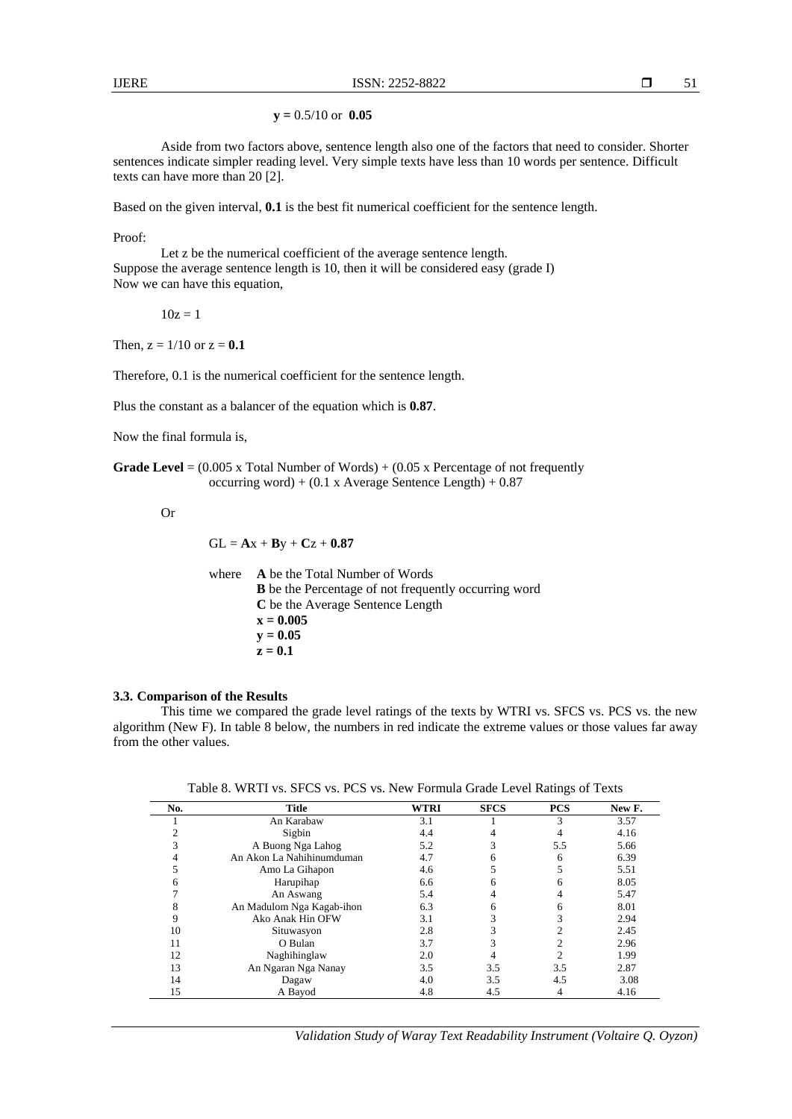**y =** 0.5/10 or **0.05** 

Aside from two factors above, sentence length also one of the factors that need to consider. Shorter sentences indicate simpler reading level. Very simple texts have less than 10 words per sentence. Difficult texts can have more than 20 [2].

Based on the given interval, **0.1** is the best fit numerical coefficient for the sentence length.

Proof:

 Let z be the numerical coefficient of the average sentence length. Suppose the average sentence length is 10, then it will be considered easy (grade I) Now we can have this equation,

 $10z = 1$ 

Then,  $z = 1/10$  or  $z = 0.1$ 

Therefore, 0.1 is the numerical coefficient for the sentence length.

Plus the constant as a balancer of the equation which is **0.87**.

Now the final formula is,

**Grade Level** =  $(0.005 \times \text{Total Number of Words}) + (0.05 \times \text{Percentage of not frequently})$ occurring word) +  $(0.1 \times \text{Average sentence Length}) + 0.87$ 

Or

 $GL = Ax + By + Cz + 0.87$ 

where **A** be the Total Number of Words **B** be the Percentage of not frequently occurring word **C** be the Average Sentence Length **x = 0.005**   $y = 0.05$  $z = 0.1$ 

### **3.3. Comparison of the Results**

This time we compared the grade level ratings of the texts by WTRI vs. SFCS vs. PCS vs. the new algorithm (New F). In table 8 below, the numbers in red indicate the extreme values or those values far away from the other values.

Table 8. WRTI vs. SFCS vs. PCS vs. New Formula Grade Level Ratings of Texts

| No. | <b>Title</b>              | <b>WTRI</b> | <b>SFCS</b> | <b>PCS</b> | New F. |
|-----|---------------------------|-------------|-------------|------------|--------|
|     | An Karabaw                | 3.1         |             |            | 3.57   |
|     | Sigbin                    | 4.4         |             |            | 4.16   |
|     | A Buong Nga Lahog         | 5.2         |             | 5.5        | 5.66   |
|     | An Akon La Nahihinumduman | 4.7         |             | 6          | 6.39   |
|     | Amo La Gihapon            | 4.6         |             |            | 5.51   |
|     | Harupihap                 | 6.6         |             |            | 8.05   |
|     | An Aswang                 | 5.4         |             |            | 5.47   |
|     | An Madulom Nga Kagab-ihon | 6.3         |             |            | 8.01   |
|     | Ako Anak Hin OFW          | 3.1         |             |            | 2.94   |
| 10  | Situwasyon                | 2.8         |             |            | 2.45   |
| 11  | O Bulan                   | 3.7         |             |            | 2.96   |
| 12  | Naghihinglaw              | 2.0         |             |            | 1.99   |
| 13  | An Ngaran Nga Nanay       | 3.5         | 3.5         | 3.5        | 2.87   |
| 14  | Dagaw                     | 4.0         | 3.5         | 4.5        | 3.08   |
| 15  | A Bavod                   | 4.8         | 4.5         |            | 4.16   |

*Validation Study of Waray Text Readability Instrument (Voltaire Q. Oyzon)*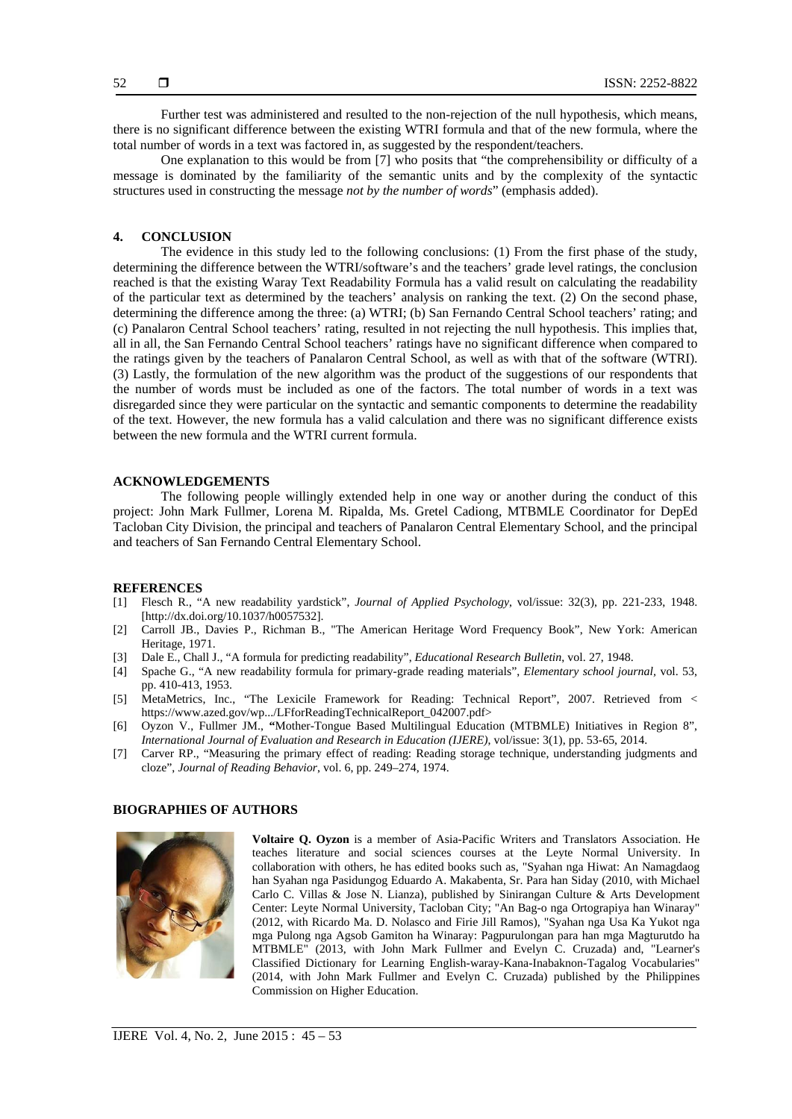Further test was administered and resulted to the non-rejection of the null hypothesis, which means, there is no significant difference between the existing WTRI formula and that of the new formula, where the total number of words in a text was factored in, as suggested by the respondent/teachers.

One explanation to this would be from [7] who posits that "the comprehensibility or difficulty of a message is dominated by the familiarity of the semantic units and by the complexity of the syntactic structures used in constructing the message *not by the number of words*" (emphasis added).

# **4. CONCLUSION**

The evidence in this study led to the following conclusions: (1) From the first phase of the study, determining the difference between the WTRI/software's and the teachers' grade level ratings, the conclusion reached is that the existing Waray Text Readability Formula has a valid result on calculating the readability of the particular text as determined by the teachers' analysis on ranking the text. (2) On the second phase, determining the difference among the three: (a) WTRI; (b) San Fernando Central School teachers' rating; and (c) Panalaron Central School teachers' rating, resulted in not rejecting the null hypothesis. This implies that, all in all, the San Fernando Central School teachers' ratings have no significant difference when compared to the ratings given by the teachers of Panalaron Central School, as well as with that of the software (WTRI). (3) Lastly, the formulation of the new algorithm was the product of the suggestions of our respondents that the number of words must be included as one of the factors. The total number of words in a text was disregarded since they were particular on the syntactic and semantic components to determine the readability of the text. However, the new formula has a valid calculation and there was no significant difference exists between the new formula and the WTRI current formula.

### **ACKNOWLEDGEMENTS**

The following people willingly extended help in one way or another during the conduct of this project: John Mark Fullmer, Lorena M. Ripalda, Ms. Gretel Cadiong, MTBMLE Coordinator for DepEd Tacloban City Division, the principal and teachers of Panalaron Central Elementary School, and the principal and teachers of San Fernando Central Elementary School.

### **REFERENCES**

- [1] Flesch R., "A new readability yardstick", *Journal of Applied Psychology*, vol/issue: 32(3), pp. 221-233, 1948. [http://dx.doi.org/10.1037/h0057532].
- [2] Carroll JB., Davies P., Richman B., "The American Heritage Word Frequency Book", New York: American Heritage, 1971.
- [3] Dale E., Chall J., "A formula for predicting readability", *Educational Research Bulletin*, vol. 27, 1948.
- [4] Spache G., "A new readability formula for primary-grade reading materials", *Elementary school journal,* vol. 53, pp. 410-413, 1953.
- [5] MetaMetrics, Inc., "The Lexicile Framework for Reading: Technical Report", 2007. Retrieved from < https://www.azed.gov/wp.../LFforReadingTechnicalReport\_042007.pdf>
- [6] Oyzon V., Fullmer JM., **"**Mother-Tongue Based Multilingual Education (MTBMLE) Initiatives in Region 8", *International Journal of Evaluation and Research in Education (IJERE)*, vol/issue: 3(1), pp. 53-65, 2014.
- [7] Carver RP., "Measuring the primary effect of reading: Reading storage technique, understanding judgments and cloze", *Journal of Reading Behavior*, vol. 6, pp. 249–274, 1974.

# **BIOGRAPHIES OF AUTHORS**



**Voltaire Q. Oyzon** is a member of Asia-Pacific Writers and Translators Association. He teaches literature and social sciences courses at the Leyte Normal University. In collaboration with others, he has edited books such as, "Syahan nga Hiwat: An Namagdaog han Syahan nga Pasidungog Eduardo A. Makabenta, Sr. Para han Siday (2010, with Michael Carlo C. Villas & Jose N. Lianza), published by Sinirangan Culture & Arts Development Center: Leyte Normal University, Tacloban City; "An Bag-o nga Ortograpiya han Winaray" (2012, with Ricardo Ma. D. Nolasco and Firie Jill Ramos), "Syahan nga Usa Ka Yukot nga mga Pulong nga Agsob Gamiton ha Winaray: Pagpurulongan para han mga Magturutdo ha MTBMLE" (2013, with John Mark Fullmer and Evelyn C. Cruzada) and, "Learner's Classified Dictionary for Learning English-waray-Kana-Inabaknon-Tagalog Vocabularies" (2014, with John Mark Fullmer and Evelyn C. Cruzada) published by the Philippines Commission on Higher Education.